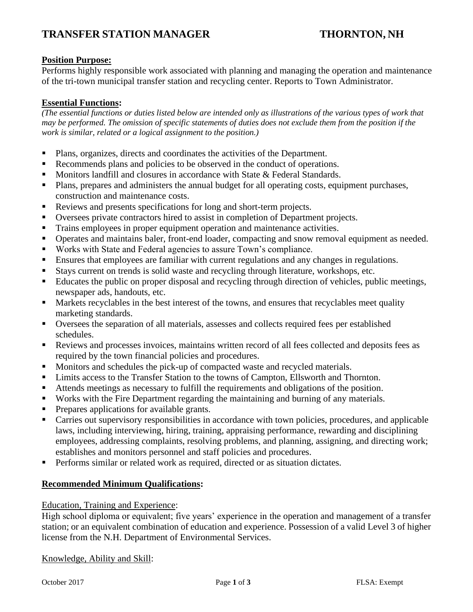# **TRANSFER STATION MANAGER THORNTON, NH**

## **Position Purpose:**

Performs highly responsible work associated with planning and managing the operation and maintenance of the tri-town municipal transfer station and recycling center. Reports to Town Administrator.

## **Essential Functions:**

*(The essential functions or duties listed below are intended only as illustrations of the various types of work that may be performed. The omission of specific statements of duties does not exclude them from the position if the work is similar, related or a logical assignment to the position.)*

- Plans, organizes, directs and coordinates the activities of the Department.
- Recommends plans and policies to be observed in the conduct of operations.
- Monitors landfill and closures in accordance with State & Federal Standards.
- Plans, prepares and administers the annual budget for all operating costs, equipment purchases, construction and maintenance costs.
- Reviews and presents specifications for long and short-term projects.
- Oversees private contractors hired to assist in completion of Department projects.
- Trains employees in proper equipment operation and maintenance activities.
- **•** Operates and maintains baler, front-end loader, compacting and snow removal equipment as needed.
- Works with State and Federal agencies to assure Town's compliance.
- **Ensures that employees are familiar with current regulations and any changes in regulations.**
- Stays current on trends is solid waste and recycling through literature, workshops, etc.
- Educates the public on proper disposal and recycling through direction of vehicles, public meetings, newspaper ads, handouts, etc.
- Markets recyclables in the best interest of the towns, and ensures that recyclables meet quality marketing standards.
- Oversees the separation of all materials, assesses and collects required fees per established schedules.
- Reviews and processes invoices, maintains written record of all fees collected and deposits fees as required by the town financial policies and procedures.
- Monitors and schedules the pick-up of compacted waste and recycled materials.
- Limits access to the Transfer Station to the towns of Campton, Ellsworth and Thornton.
- Attends meetings as necessary to fulfill the requirements and obligations of the position.
- Works with the Fire Department regarding the maintaining and burning of any materials.
- Prepares applications for available grants.
- Carries out supervisory responsibilities in accordance with town policies, procedures, and applicable laws, including interviewing, hiring, training, appraising performance, rewarding and disciplining employees, addressing complaints, resolving problems, and planning, assigning, and directing work; establishes and monitors personnel and staff policies and procedures.
- **•** Performs similar or related work as required, directed or as situation dictates.

### **Recommended Minimum Qualifications:**

### Education, Training and Experience:

High school diploma or equivalent; five years' experience in the operation and management of a transfer station; or an equivalent combination of education and experience. Possession of a valid Level 3 of higher license from the N.H. Department of Environmental Services.

Knowledge, Ability and Skill: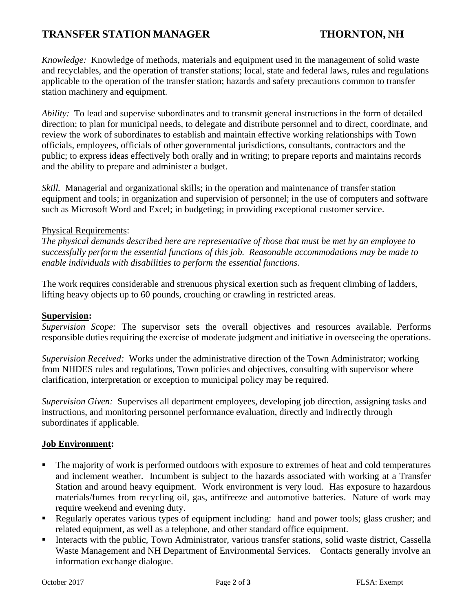# **TRANSFER STATION MANAGER THORNTON, NH**

*Knowledge:* Knowledge of methods, materials and equipment used in the management of solid waste and recyclables, and the operation of transfer stations; local, state and federal laws, rules and regulations applicable to the operation of the transfer station; hazards and safety precautions common to transfer station machinery and equipment.

*Ability:* To lead and supervise subordinates and to transmit general instructions in the form of detailed direction; to plan for municipal needs, to delegate and distribute personnel and to direct, coordinate, and review the work of subordinates to establish and maintain effective working relationships with Town officials, employees, officials of other governmental jurisdictions, consultants, contractors and the public; to express ideas effectively both orally and in writing; to prepare reports and maintains records and the ability to prepare and administer a budget.

*Skill.* Managerial and organizational skills; in the operation and maintenance of transfer station equipment and tools; in organization and supervision of personnel; in the use of computers and software such as Microsoft Word and Excel; in budgeting; in providing exceptional customer service.

## Physical Requirements:

*The physical demands described here are representative of those that must be met by an employee to successfully perform the essential functions of this job. Reasonable accommodations may be made to enable individuals with disabilities to perform the essential functions*.

The work requires considerable and strenuous physical exertion such as frequent climbing of ladders, lifting heavy objects up to 60 pounds, crouching or crawling in restricted areas.

### **Supervision:**

*Supervision Scope:* The supervisor sets the overall objectives and resources available. Performs responsible duties requiring the exercise of moderate judgment and initiative in overseeing the operations.

*Supervision Received:* Works under the administrative direction of the Town Administrator; working from NHDES rules and regulations, Town policies and objectives, consulting with supervisor where clarification, interpretation or exception to municipal policy may be required.

*Supervision Given:* Supervises all department employees, developing job direction, assigning tasks and instructions, and monitoring personnel performance evaluation, directly and indirectly through subordinates if applicable.

### **Job Environment:**

- The majority of work is performed outdoors with exposure to extremes of heat and cold temperatures and inclement weather. Incumbent is subject to the hazards associated with working at a Transfer Station and around heavy equipment. Work environment is very loud. Has exposure to hazardous materials/fumes from recycling oil, gas, antifreeze and automotive batteries. Nature of work may require weekend and evening duty.
- **•** Regularly operates various types of equipment including: hand and power tools; glass crusher; and related equipment, as well as a telephone, and other standard office equipment.
- Interacts with the public, Town Administrator, various transfer stations, solid waste district, Cassella Waste Management and NH Department of Environmental Services. Contacts generally involve an information exchange dialogue.